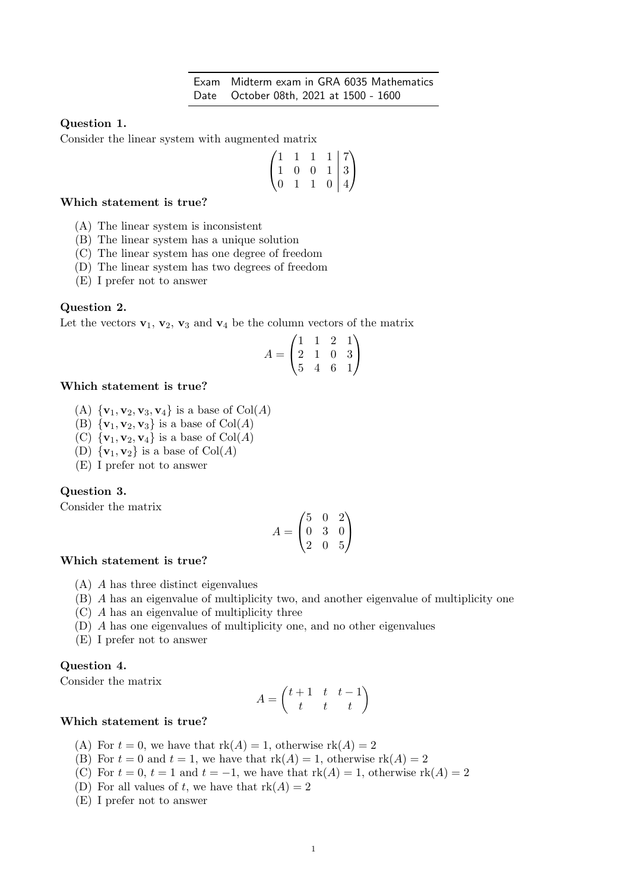# Question 1.

Consider the linear system with augmented matrix

$$
\begin{pmatrix} 1 & 1 & 1 & 1 & | & 7 \\ 1 & 0 & 0 & 1 & | & 3 \\ 0 & 1 & 1 & 0 & | & 4 \end{pmatrix}
$$

# Which statement is true?

- (A) The linear system is inconsistent
- (B) The linear system has a unique solution
- (C) The linear system has one degree of freedom
- (D) The linear system has two degrees of freedom
- (E) I prefer not to answer

### Question 2.

Let the vectors  $\mathbf{v}_1$ ,  $\mathbf{v}_2$ ,  $\mathbf{v}_3$  and  $\mathbf{v}_4$  be the column vectors of the matrix

$$
A = \begin{pmatrix} 1 & 1 & 2 & 1 \\ 2 & 1 & 0 & 3 \\ 5 & 4 & 6 & 1 \end{pmatrix}
$$

# Which statement is true?

- (A)  $\{v_1, v_2, v_3, v_4\}$  is a base of Col(A)
- (B)  ${\mathbf{v}_1, \mathbf{v}_2, \mathbf{v}_3}$  is a base of  $\text{Col}(A)$
- (C)  $\{v_1, v_2, v_4\}$  is a base of  $Col(A)$
- (D)  $\{v_1, v_2\}$  is a base of  $Col(A)$
- (E) I prefer not to answer

# Question 3.

Consider the matrix

$$
A = \begin{pmatrix} 5 & 0 & 2 \\ 0 & 3 & 0 \\ 2 & 0 & 5 \end{pmatrix}
$$

### Which statement is true?

- (A) A has three distinct eigenvalues
- (B) A has an eigenvalue of multiplicity two, and another eigenvalue of multiplicity one
- (C) A has an eigenvalue of multiplicity three
- (D) A has one eigenvalues of multiplicity one, and no other eigenvalues
- (E) I prefer not to answer

# Question 4.

Consider the matrix

$$
A = \begin{pmatrix} t+1 & t & t-1 \\ t & t & t \end{pmatrix}
$$

### Which statement is true?

- (A) For  $t = 0$ , we have that  $rk(A) = 1$ , otherwise  $rk(A) = 2$
- (B) For  $t = 0$  and  $t = 1$ , we have that  $rk(A) = 1$ , otherwise  $rk(A) = 2$
- (C) For  $t = 0$ ,  $t = 1$  and  $t = -1$ , we have that  $rk(A) = 1$ , otherwise  $rk(A) = 2$
- (D) For all values of t, we have that  $rk(A) = 2$
- (E) I prefer not to answer